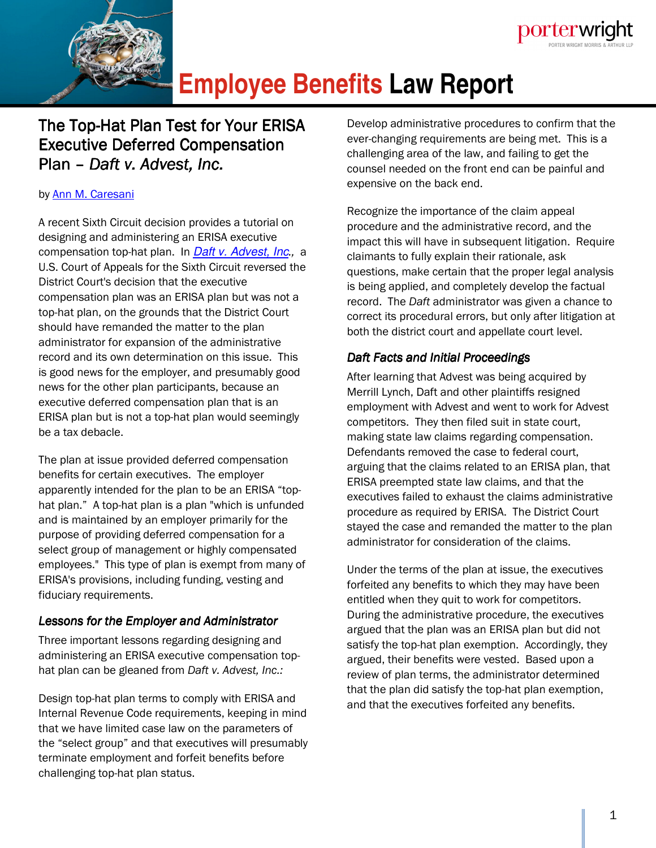

# **Employee Benefits Law Report**

# The Top-Hat Plan Test for Your ERISA Executive Deferred Compensation Plan – *Daft v. Advest, Inc.*

#### by Ann M. Caresani

A recent Sixth Circuit decision provides a tutorial on designing and administering an ERISA executive compensation top-hat plan. In Daft v. Advest, Inc*.,* a U.S. Court of Appeals for the Sixth Circuit reversed the District Court's decision that the executive compensation plan was an ERISA plan but was not a top-hat plan, on the grounds that the District Court should have remanded the matter to the plan administrator for expansion of the administrative record and its own determination on this issue. This is good news for the employer, and presumably good news for the other plan participants, because an executive deferred compensation plan that is an ERISA plan but is not a top-hat plan would seemingly be a tax debacle.

The plan at issue provided deferred compensation benefits for certain executives. The employer apparently intended for the plan to be an ERISA "tophat plan." A top-hat plan is a plan "which is unfunded and is maintained by an employer primarily for the purpose of providing deferred compensation for a select group of management or highly compensated employees." This type of plan is exempt from many of ERISA's provisions, including funding, vesting and fiduciary requirements.

### *Lessons for the Employer and Administrator*

Three important lessons regarding designing and administering an ERISA executive compensation tophat plan can be gleaned from *Daft v. Advest, Inc.:*

Design top-hat plan terms to comply with ERISA and Internal Revenue Code requirements, keeping in mind that we have limited case law on the parameters of the "select group" and that executives will presumably terminate employment and forfeit benefits before challenging top-hat plan status.

Develop administrative procedures to confirm that the ever-changing requirements are being met. This is a challenging area of the law, and failing to get the counsel needed on the front end can be painful and expensive on the back end.

porterwright

Recognize the importance of the claim appeal procedure and the administrative record, and the impact this will have in subsequent litigation. Require claimants to fully explain their rationale, ask questions, make certain that the proper legal analysis is being applied, and completely develop the factual record. The *Daft* administrator was given a chance to correct its procedural errors, but only after litigation at both the district court and appellate court level.

# *Daft Facts and Initial Proceedings*

After learning that Advest was being acquired by Merrill Lynch, Daft and other plaintiffs resigned employment with Advest and went to work for Advest competitors. They then filed suit in state court, making state law claims regarding compensation. Defendants removed the case to federal court, arguing that the claims related to an ERISA plan, that ERISA preempted state law claims, and that the executives failed to exhaust the claims administrative procedure as required by ERISA. The District Court stayed the case and remanded the matter to the plan administrator for consideration of the claims.

Under the terms of the plan at issue, the executives forfeited any benefits to which they may have been entitled when they quit to work for competitors. During the administrative procedure, the executives argued that the plan was an ERISA plan but did not satisfy the top-hat plan exemption. Accordingly, they argued, their benefits were vested. Based upon a review of plan terms, the administrator determined that the plan did satisfy the top-hat plan exemption, and that the executives forfeited any benefits.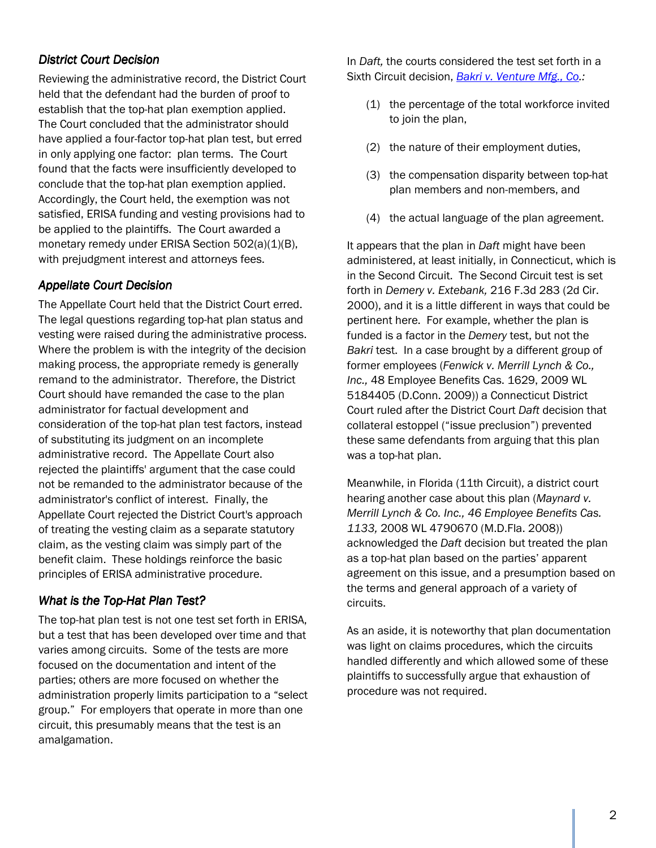## *District Court Decision*

Reviewing the administrative record, the District Court held that the defendant had the burden of proof to establish that the top-hat plan exemption applied. The Court concluded that the administrator should have applied a four-factor top-hat plan test, but erred in only applying one factor: plan terms. The Court found that the facts were insufficiently developed to conclude that the top-hat plan exemption applied. Accordingly, the Court held, the exemption was not satisfied, ERISA funding and vesting provisions had to be applied to the plaintiffs. The Court awarded a monetary remedy under ERISA Section 502(a)(1)(B), with prejudgment interest and attorneys fees.

### **Appellate Court Decision**

The Appellate Court held that the District Court erred. The legal questions regarding top-hat plan status and vesting were raised during the administrative process. Where the problem is with the integrity of the decision making process, the appropriate remedy is generally remand to the administrator. Therefore, the District Court should have remanded the case to the plan administrator for factual development and consideration of the top-hat plan test factors, instead of substituting its judgment on an incomplete administrative record. The Appellate Court also rejected the plaintiffs' argument that the case could not be remanded to the administrator because of the administrator's conflict of interest. Finally, the Appellate Court rejected the District Court's approach of treating the vesting claim as a separate statutory claim, as the vesting claim was simply part of the benefit claim. These holdings reinforce the basic principles of ERISA administrative procedure.

#### *What is the Top-Hat Plan Test?*

The top-hat plan test is not one test set forth in ERISA, but a test that has been developed over time and that varies among circuits. Some of the tests are more focused on the documentation and intent of the parties; others are more focused on whether the administration properly limits participation to a "select group." For employers that operate in more than one circuit, this presumably means that the test is an amalgamation.

In *Daft,* the courts considered the test set forth in a Sixth Circuit decision, *Bakri v. Venture Mfg., Co.:*

- (1) the percentage of the total workforce invited to join the plan,
- (2) the nature of their employment duties,
- (3) the compensation disparity between top-hat plan members and non-members, and
- (4) the actual language of the plan agreement.

It appears that the plan in *Daft* might have been administered, at least initially, in Connecticut, which is in the Second Circuit. The Second Circuit test is set forth in *Demery v. Extebank,* 216 F.3d 283 (2d Cir. 2000), and it is a little different in ways that could be pertinent here. For example, whether the plan is funded is a factor in the *Demery* test, but not the *Bakri* test. In a case brought by a different group of former employees (*Fenwick v. Merrill Lynch & Co., Inc.,* 48 Employee Benefits Cas. 1629, 2009 WL 5184405 (D.Conn. 2009)) a Connecticut District Court ruled after the District Court *Daft* decision that collateral estoppel ("issue preclusion") prevented these same defendants from arguing that this plan was a top-hat plan.

Meanwhile, in Florida (11th Circuit), a district court hearing another case about this plan (*Maynard v. Merrill Lynch & Co. Inc., 46 Employee Benefits Cas. 1133,* 2008 WL 4790670 (M.D.Fla. 2008)) acknowledged the *Daft* decision but treated the plan as a top-hat plan based on the parties' apparent agreement on this issue, and a presumption based on the terms and general approach of a variety of circuits.

As an aside, it is noteworthy that plan documentation was light on claims procedures, which the circuits handled differently and which allowed some of these plaintiffs to successfully argue that exhaustion of procedure was not required.